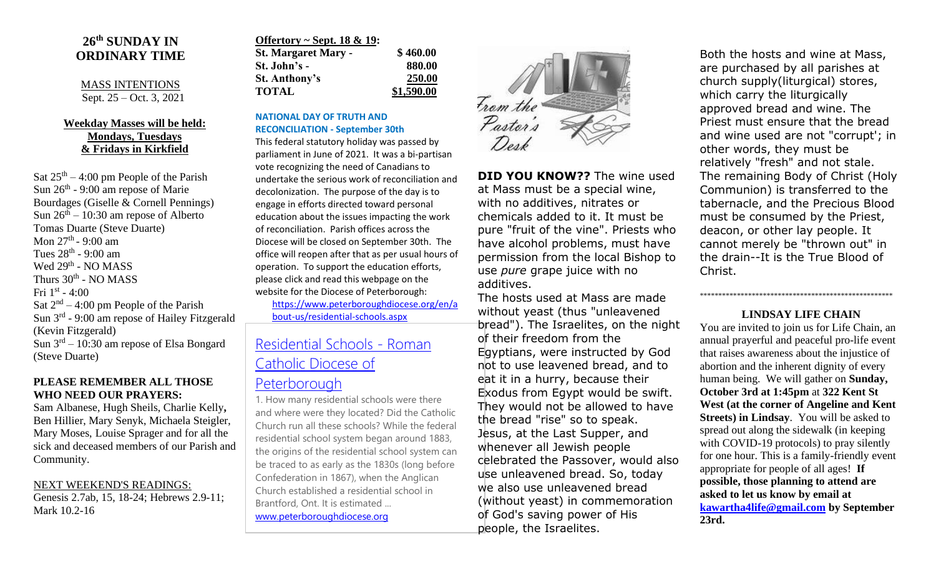### **26 th SUNDAY IN ORDINARY TIME**

#### MASS INTENTIONS Sept. 25 – Oct. 3, 2021

#### **Weekday Masses will be held: Mondays, Tuesdays & Fridays in Kirkfield**

Sat  $25<sup>th</sup> - 4:00$  pm People of the Parish Sun  $26<sup>th</sup>$  - 9:00 am repose of Marie Bourdages (Giselle & Cornell Pennings) Sun  $26<sup>th</sup> - 10:30$  am repose of Alberto Tomas Duarte (Steve Duarte) Mon 27<sup>th</sup> - 9:00 am Tues  $28^{\text{th}}$  - 9:00 am Wed 29<sup>th</sup> - NO MASS Thurs 30<sup>th</sup> - NO MASS Fri  $1^\text{st}$  - 4:00 Sat  $2<sup>nd</sup> - 4:00$  pm People of the Parish Sun 3<sup>rd</sup> - 9:00 am repose of Hailey Fitzgerald (Kevin Fitzgerald) Sun  $3<sup>rd</sup> - 10:30$  am repose of Elsa Bongard (Steve Duarte)

#### **PLEASE REMEMBER ALL THOSE WHO NEED OUR PRAYERS:**

Sam Albanese, Hugh Sheils, Charlie Kelly**,**  Ben Hillier, Mary Senyk, Michaela Steigler, Mary Moses, Louise Sprager and for all the sick and deceased members of our Parish and Community.

NEXT WEEKEND'S READINGS: Genesis 2.7ab, 15, 18-24; Hebrews 2.9-11; Mark 10.2-16

| Offertory ~ Sept. $18 \& 19$ : |            |
|--------------------------------|------------|
| <b>St. Margaret Mary -</b>     | \$460.00   |
| St. John's -                   | 880.00     |
| St. Anthony's                  | 250.00     |
| <b>TOTAL</b>                   | \$1,590.00 |

#### **NATIONAL DAY OF TRUTH AND RECONCILIATION - September 30th**

This federal statutory holiday was passed by parliament in June of 2021. It was a bi-partisan vote recognizing the need of Canadians to undertake the serious work of reconciliation and decolonization. The purpose of the day is to engage in efforts directed toward personal education about the issues impacting the work of reconciliation. Parish offices across the Diocese will be closed on September 30th. The office will reopen after that as per usual hours of operation. To support the education efforts, please click and read this webpage on the website for the Diocese of Peterborough:

[https://www.peterboroughdiocese.org/en/a](https://www.peterboroughdiocese.org/en/about-us/residential-schools.aspx) [bout-us/residential-schools.aspx](https://www.peterboroughdiocese.org/en/about-us/residential-schools.aspx)

# [Residential Schools -](https://www.peterboroughdiocese.org/en/about-us/residential-schools.aspx) Roman [Catholic Diocese of](https://www.peterboroughdiocese.org/en/about-us/residential-schools.aspx)

## [Peterborough](https://www.peterboroughdiocese.org/en/about-us/residential-schools.aspx)

1. How many residential schools were there and where were they located? Did the Catholic Church run all these schools? While the federal residential school system began around 1883, the origins of the residential school system can be traced to as early as the 1830s (long before Confederation in 1867), when the Anglican Church established a residential school in Brantford, Ont. It is estimated ... [www.peterboroughdiocese.org](http://www.peterboroughdiocese.org/)



**DID YOU KNOW??** The wine used at Mass must be a special wine, with no additives, nitrates or chemicals added to it. It must be pure "fruit of the vine". Priests who have alcohol problems, must have permission from the local Bishop to use *pure* grape juice with no additives.

The hosts used at Mass are made without yeast (thus "unleavened bread"). The Israelites, on the night of their freedom from the Egyptians, were instructed by God not to use leavened bread, and to eat it in a hurry, because their Exodus from Egypt would be swift. They would not be allowed to have the bread "rise" so to speak. Jesus, at the Last Supper, and whenever all Jewish people celebrated the Passover, would also use unleavened bread. So, today we also use unleavened bread (without yeast) in commemoration of God's saving power of His people, the Israelites.

Both the hosts and wine at Mass, are purchased by all parishes at church supply(liturgical) stores, which carry the liturgically approved bread and wine. The Priest must ensure that the bread and wine used are not "corrupt'; in other words, they must be relatively "fresh" and not stale. The remaining Body of Christ (Holy Communion) is transferred to the tabernacle, and the Precious Blood must be consumed by the Priest, deacon, or other lay people. It cannot merely be "thrown out" in the drain--It is the True Blood of Christ.

#### **LINDSAY LIFE CHAIN**

\*\*\*\*\*\*\*\*\*\*\*\*\*\*\*\*\*\*\*\*\*\*\*\*\*\*\*\*\*\*\*\*\*\*\*\*\*\*\*\*\*\*\*\*\*\*\*\*\*\*\*\*

You are invited to join us for Life Chain, an annual prayerful and peaceful pro-life event that raises awareness about the injustice of abortion and the inherent dignity of every human being. We will gather on **Sunday, October 3rd at 1:45pm** at **322 Kent St West (at the corner of Angeline and Kent Streets) in Lindsay**. You will be asked to spread out along the sidewalk (in keeping with COVID-19 protocols) to pray silently for one hour. This is a family-friendly event appropriate for people of all ages! **If possible, those planning to attend are asked to let us know by email at [kawartha4life@gmail.com](mailto:kawartha4life@gmail.com) by September 23rd.**